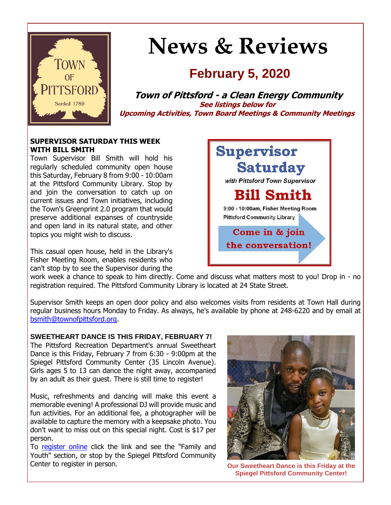

# **News & Reviews**

# **February 5, 2020**

**Town of Pittsford - a Clean Energy Community See listings below for Upcoming Activities, Town Board Meetings & Community Meetings**

#### **SUPERVISOR SATURDAY THIS WEEK WITH BILL SMITH**

Town Supervisor Bill Smith will hold his regularly scheduled community open house this Saturday, February 8 from 9:00 - 10:00am at the Pittsford Community Library. Stop by and join the conversation to catch up on current issues and Town initiatives, including the Town's Greenprint 2.0 program that would preserve additional expanses of countryside and open land in its natural state, and other topics you might wish to discuss.

This casual open house, held in the Library's Fisher Meeting Room, enables residents who can't stop by to see the Supervisor during the



work week a chance to speak to him directly. Come and discuss what matters most to you! Drop in - no registration required. The Pittsford Community Library is located at 24 State Street.

Supervisor Smith keeps an open door policy and also welcomes visits from residents at Town Hall during regular business hours Monday to Friday. As always, he's available by phone at 248-6220 and by email at [bsmith@townofpittsford.org.](mailto:bsmith@townofpittsford.org)

#### **SWEETHEART DANCE IS THIS FRIDAY, FEBRUARY 7!**

The Pittsford Recreation Department's annual Sweetheart Dance is this Friday, February 7 from 6:30 - 9:00pm at the Spiegel Pittsford Community Center (35 Lincoln Avenue). Girls ages 5 to 13 can dance the night away, accompanied by an adult as their guest. There is still time to register!

Music, refreshments and dancing will make this event a memorable evening! A professional DJ will provide music and fun activities. For an additional fee, a photographer will be available to capture the memory with a keepsake photo. You don't want to miss out on this special night. Cost is \$17 per person.

To [register online](http://r20.rs6.net/tn.jsp?f=001qu0QUsoiwPORWmv6dTM9UoinGMz1E4nEaTtmylmusPUlScNuHV_EAsScw5N6qo91JLbvPDrbRFZoMSxiQ-rC3qeSIjyLTHDtgN9waXJ-cpcUPr85XA18Wlf8krqAUPMOMSquMj_6GFulJAN58qzCUvPginPMMj0yMGFFtsf3lhZHu3BVfhHURJJ7Fo14Cbb4D-WXP6s6IsoBQPOKLT8sFpi0OeMe3Luuqw1KRJMFnz90_WmmgN3YJAOXl__4bmiMI8wQM1VSRBq5VG2JxAkLoR5oNDy598Ex-M4YUGkceZVi20mibfU3lHzvwvinkC1cGgKUPWszwcBUJ-GuOkYlXDAQXvVyfOQ0&c=_V3H7v8cJg2bs8-9hTKoPnaHS5CRey89mHnQY82CnOymP57pXPxf-Q==&ch=jm8Q6fUyonRbYQQmggf87AH1g-3bGcG8gAdsrrUGGfmmWW930KyVCw==) click the link and see the "Family and Youth" section, or stop by the Spiegel Pittsford Community Center to register in person. **Our Sweetheart Dance is this Friday at the** 



**Spiegel Pittsford Community Center!**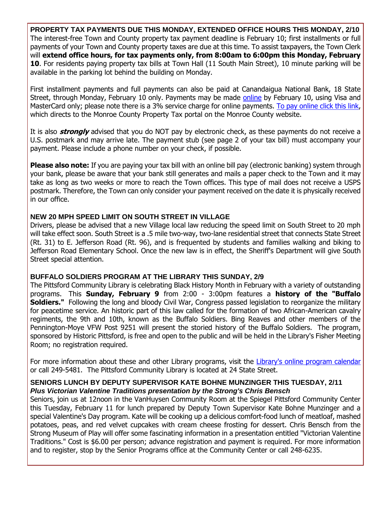**PROPERTY TAX PAYMENTS DUE THIS MONDAY, EXTENDED OFFICE HOURS THIS MONDAY, 2/10** The interest-free Town and County property tax payment deadline is February 10; first installments or full payments of your Town and County property taxes are due at this time. To assist taxpayers, the Town Clerk will **extend office hours, for tax payments only, from 8:00am to 6:00pm this Monday, February 10**. For residents paying property tax bills at Town Hall (11 South Main Street), 10 minute parking will be available in the parking lot behind the building on Monday.

First installment payments and full payments can also be paid at Canandaigua National Bank, 18 State Street, through Monday, February 10 only. Payments may be made [online](http://r20.rs6.net/tn.jsp?f=001qu0QUsoiwPORWmv6dTM9UoinGMz1E4nEaTtmylmusPUlScNuHV_EAhQxuOuQ69i8ktYJjWKyLqZUb5Z0hMeznrgBYiTj4uerx5NCLAXhvaN55iVdE1j7yc5kMRexdqeHH7R_vzolb2jbzm4u7sfGl72eUMsP5CEQDFdhv6LfIBXMF1S6zEeEBZ-9KIQdXdlu7GlOLjDJ83ySI0yg1XZ6xD4N3jLsVjFKDWKCsi6V9ac_MovImonKPkARFzZjARheHGPgXCD55uyGKadCeEL7Jheh-YO8YlqWHwVjTyupYfa5vaG9lQKfsGyDRtcUiKfJ&c=_V3H7v8cJg2bs8-9hTKoPnaHS5CRey89mHnQY82CnOymP57pXPxf-Q==&ch=jm8Q6fUyonRbYQQmggf87AH1g-3bGcG8gAdsrrUGGfmmWW930KyVCw==) by February 10, using Visa and MasterCard only; please note there is a 3% service charge for online payments. [To pay online click this link,](http://r20.rs6.net/tn.jsp?f=001qu0QUsoiwPORWmv6dTM9UoinGMz1E4nEaTtmylmusPUlScNuHV_EAml6hcaOHNKv5kcIu631p9fMdNgSybm83nqSetQbBR3o5YGSrKI72T26c7rIuP84YxQht5MUNKhAxFyABjABQVhZUMXzkhC5ILV1_fhrxhfLVRiMgPOvVlc1KDaCz6wIjPoeTe2eYCSfrO0ClczHZGxaehTqZE57rWBA1EvZFlH0DwTTaPaZjosNFMK7Di65GaMhC45prdWuRzaTGcKCVZFVnsYWyT6UZ70w4DwSr3Or9to30kCvkfltZTvvFbmEJA==&c=_V3H7v8cJg2bs8-9hTKoPnaHS5CRey89mHnQY82CnOymP57pXPxf-Q==&ch=jm8Q6fUyonRbYQQmggf87AH1g-3bGcG8gAdsrrUGGfmmWW930KyVCw==) which directs to the Monroe County Property Tax portal on the Monroe County website.

It is also **strongly** advised that you do NOT pay by electronic check, as these payments do not receive a U.S. postmark and may arrive late. The payment stub (see page 2 of your tax bill) must accompany your payment. Please include a phone number on your check, if possible.

**Please also note:** If you are paying your tax bill with an online bill pay (electronic banking) system through your bank, please be aware that your bank still generates and mails a paper check to the Town and it may take as long as two weeks or more to reach the Town offices. This type of mail does not receive a USPS postmark. Therefore, the Town can only consider your payment received on the date it is physically received in our office.

#### **NEW 20 MPH SPEED LIMIT ON SOUTH STREET IN VILLAGE**

Drivers, please be advised that a new Village local law reducing the speed limit on South Street to 20 mph will take effect soon. South Street is a .5 mile two-way, two-lane residential street that connects State Street (Rt. 31) to E. Jefferson Road (Rt. 96), and is frequented by students and families walking and biking to Jefferson Road Elementary School. Once the new law is in effect, the Sheriff's Department will give South Street special attention.

#### **BUFFALO SOLDIERS PROGRAM AT THE LIBRARY THIS SUNDAY, 2/9**

The Pittsford Community Library is celebrating Black History Month in February with a variety of outstanding programs. This **Sunday, February 9** from 2:00 - 3:00pm features a **history of the "Buffalo Soldiers."** Following the long and bloody Civil War, Congress passed legislation to reorganize the military for peacetime service. An historic part of this law called for the formation of two African-American cavalry regiments, the 9th and 10th, known as the Buffalo Soldiers. Bing Reaves and other members of the Pennington-Moye VFW Post 9251 will present the storied history of the Buffalo Soldiers. The program, sponsored by Historic Pittsford, is free and open to the public and will be held in the Library's Fisher Meeting Room; no registration required.

For more information about these and other Library programs, visit the [Library's online program calendar](http://r20.rs6.net/tn.jsp?f=001qu0QUsoiwPORWmv6dTM9UoinGMz1E4nEaTtmylmusPUlScNuHV_EAtq2uDWLNHBM4F4awjPmQ0zVU4LY3jeyjKgQn0-jBxShG8NHZS8UJa72BwCWs8kylQV8cQYDsgAk8Jo79hRn8NIcdhI27LRcixMkZEeZVDAUZ2Gp1yc-rre9d10tAwsjc4LW1ceh3tl-Dv2SC3AQLGebjs4VCnvHarMRTxp83YDaIZQf4laRizwjiOxnuc-sYjBptKIrh1et4npOCaZ96Ned7fQ3pSMuJaw0nerQR3zWGGmfDHY4MWZYwWIxkT-mJFfihZ-WKHHRVMLyHK6b1TDggGMhNmITuAb5NlFkFJglypTLZwTCGibuzjB9GyMpWFL2Gb09sIXnIB8rmWXU5bQ=&c=_V3H7v8cJg2bs8-9hTKoPnaHS5CRey89mHnQY82CnOymP57pXPxf-Q==&ch=jm8Q6fUyonRbYQQmggf87AH1g-3bGcG8gAdsrrUGGfmmWW930KyVCw==) or call 249-5481. The Pittsford Community Library is located at 24 State Street.

#### **SENIORS LUNCH BY DEPUTY SUPERVISOR KATE BOHNE MUNZINGER THIS TUESDAY, 2/11** *Plus Victorian Valentine Traditions presentation by the Strong's Chris Bensch*

Seniors, join us at 12noon in the VanHuysen Community Room at the Spiegel Pittsford Community Center this Tuesday, February 11 for lunch prepared by Deputy Town Supervisor Kate Bohne Munzinger and a special Valentine's Day program. Kate will be cooking up a delicious comfort-food lunch of meatloaf, mashed potatoes, peas, and red velvet cupcakes with cream cheese frosting for dessert. Chris Bensch from the Strong Museum of Play will offer some fascinating information in a presentation entitled "Victorian Valentine Traditions." Cost is \$6.00 per person; advance registration and payment is required. For more information and to register, stop by the Senior Programs office at the Community Center or call 248-6235.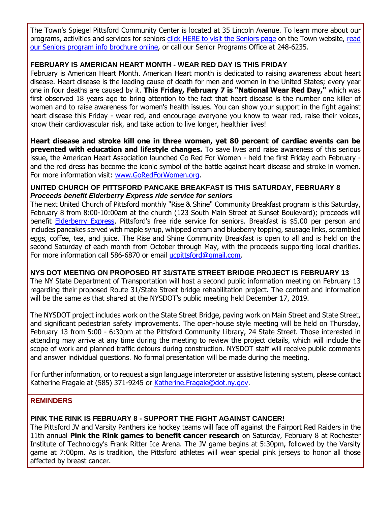The Town's Spiegel Pittsford Community Center is located at 35 Lincoln Avenue. To learn more about our programs, activities and services for seniors [click HERE to visit the Seniors page](http://www.townofpittsford.org/home-seniors?utm_source=eNews+2-5-20&utm_campaign=eNews+02-05-20&utm_medium=email) on the Town website, read [our Seniors program info brochure online,](http://r20.rs6.net/tn.jsp?f=001qu0QUsoiwPORWmv6dTM9UoinGMz1E4nEaTtmylmusPUlScNuHV_EAhu-aVfd-dhJgRZBd7hmYtEqCKRTDPa1BaeF__ASUmaAS6pC5BCJKp2cSHGfpBipzxjF7vl8lJdk8qn3bnsKzIyrcv1XrqFi-Ut_Myk-a5oRBB57hBGYpaNnafwiqIChWxndRLha17cvg009ZSPoNrUonTb2w70-vbfRrxVyku9A-hWnGAeS4hgJY-C3C8XgG4jS2UDIlztaTaf1SO_HOOIhZOffHPxadkNGgSHwPNREwdOjXIPt43H3UUP7q4uKjZdNGcYBjOGB5yaPmMW8GtIEkXPlXtIiXEwmCoqfTUNY_2Gt1n328a4=&c=_V3H7v8cJg2bs8-9hTKoPnaHS5CRey89mHnQY82CnOymP57pXPxf-Q==&ch=jm8Q6fUyonRbYQQmggf87AH1g-3bGcG8gAdsrrUGGfmmWW930KyVCw==) or call our Senior Programs Office at 248-6235.

# **FEBRUARY IS AMERICAN HEART MONTH - WEAR RED DAY IS THIS FRIDAY**

February is American Heart Month. American Heart month is dedicated to raising awareness about heart disease. Heart disease is the leading cause of death for men and women in the United States; every year one in four deaths are caused by it. **This Friday, February 7 is "National Wear Red Day,"** which was first observed 18 years ago to bring attention to the fact that heart disease is the number one killer of women and to raise awareness for women's health issues. You can show your support in the fight against heart disease this Friday - wear red, and encourage everyone you know to wear red, raise their voices, know their cardiovascular risk, and take action to live longer, healthier lives!

**Heart disease and stroke kill one in three women, yet 80 percent of cardiac events can be prevented with education and lifestyle changes.** To save lives and raise awareness of this serious issue, the American Heart Association launched Go Red For Women - held the first Friday each February and the red dress has become the iconic symbol of the battle against heart disease and stroke in women. For more information visit: [www.GoRedForWomen.org.](http://r20.rs6.net/tn.jsp?f=001qu0QUsoiwPORWmv6dTM9UoinGMz1E4nEaTtmylmusPUlScNuHV_EAli_7ErLV-wyK8JA7M8Ni7mMmHjruPwamsXnz9vFqF7J1TqvVMsCizUBEbHq9hmeOjUeBRy0wnyuzZ9xfMe5FkDenqWQ3g9jmlVbxuRG5aVwZE4IuajUIt-9ap2kmfsAqrMZVrR9MMyCalgzIKnVHL6jG6kxI4Yv0_8GWSwY3NIr7GNv4_AYCMJkK6pxv_a4CIm7cOlopGKgdj4kQqx_OW5sYgUpssoZIKs9KgWnEqo9_xZj3HfIctw=&c=_V3H7v8cJg2bs8-9hTKoPnaHS5CRey89mHnQY82CnOymP57pXPxf-Q==&ch=jm8Q6fUyonRbYQQmggf87AH1g-3bGcG8gAdsrrUGGfmmWW930KyVCw==)

#### **UNITED CHURCH OF PITTSFORD PANCAKE BREAKFAST IS THIS SATURDAY, FEBRUARY 8** *Proceeds benefit Elderberry Express ride service for seniors*

The next United Church of Pittsford monthly "Rise & Shine" Community Breakfast program is this Saturday, February 8 from 8:00-10:00am at the church (123 South Main Street at Sunset Boulevard); proceeds will benefit [Elderberry Express,](http://r20.rs6.net/tn.jsp?f=001qu0QUsoiwPORWmv6dTM9UoinGMz1E4nEaTtmylmusPUlScNuHV_EAml6hcaOHNKvawqNsScRg4Vk4m27sgYsG2gvFsIKWxfzZVtvFi8C4gfEiAz6pVDi1S4Q3jBrUj7Nbk9Ne_w2tNrSHkCJwbOdbSItyPm9JoU0jFHTLB8APZGC_K_T2oxSh_A3K-4FjtMRAwfR3M2fgN03lZvKYLERvX9KAT6eto6aXSHRwBoo2ljoBQobPtG_jA3HMLhNaph0mG_lfX_k8nKv2m6FwWarR97BIucPXfgMYu0ALWDJVJBf8dDrw1E9uOjYgT_n6AnOWoy3IohThRc1K2mDx83F0KyPHpAfjLYX&c=_V3H7v8cJg2bs8-9hTKoPnaHS5CRey89mHnQY82CnOymP57pXPxf-Q==&ch=jm8Q6fUyonRbYQQmggf87AH1g-3bGcG8gAdsrrUGGfmmWW930KyVCw==) Pittsford's free ride service for seniors. Breakfast is \$5.00 per person and includes pancakes served with maple syrup, whipped cream and blueberry topping, sausage links, scrambled eggs, coffee, tea, and juice. The Rise and Shine Community Breakfast is open to all and is held on the second Saturday of each month from October through May, with the proceeds supporting local charities. For more information call 586-6870 or email [ucpittsford@gmail.com.](mailto:ucpittsford@gmail.com?subject=Rise%20%26%20Shine%20Community%20Breakfast)

**NYS DOT MEETING ON PROPOSED RT 31/STATE STREET BRIDGE PROJECT IS FEBRUARY 13**

The NY State Department of Transportation will host a second public information meeting on February 13 regarding their proposed Route 31/State Street bridge rehabilitation project. The content and information will be the same as that shared at the NYSDOT's public meeting held December 17, 2019.

The NYSDOT project includes work on the State Street Bridge, paving work on Main Street and State Street, and significant pedestrian safety improvements. The open-house style meeting will be held on Thursday, February 13 from 5:00 - 6:30pm at the Pittsford Community Library, 24 State Street. Those interested in attending may arrive at any time during the meeting to review the project details, which will include the scope of work and planned traffic detours during construction. NYSDOT staff will receive public comments and answer individual questions. No formal presentation will be made during the meeting.

For further information, or to request a sign language interpreter or assistive listening system, please contact Katherine Fragale at (585) 371-9245 or [Katherine.Fragale@dot.ny.gov.](mailto:Katherine.Fragale@dot.ny.gov?subject=Info%20meeting%20re%3A%20proposed%20Route%2031%2FState%20Street%20bridge%20rehabilitation%20project)

#### **REMINDERS**

#### **PINK THE RINK IS FEBRUARY 8 - SUPPORT THE FIGHT AGAINST CANCER!**

The Pittsford JV and Varsity Panthers ice hockey teams will face off against the Fairport Red Raiders in the 11th annual **Pink the Rink games to benefit cancer research** on Saturday, February 8 at Rochester Institute of Technology's Frank Ritter Ice Arena. The JV game begins at 5:30pm, followed by the Varsity game at 7:00pm. As is tradition, the Pittsford athletes will wear special pink jerseys to honor all those affected by breast cancer.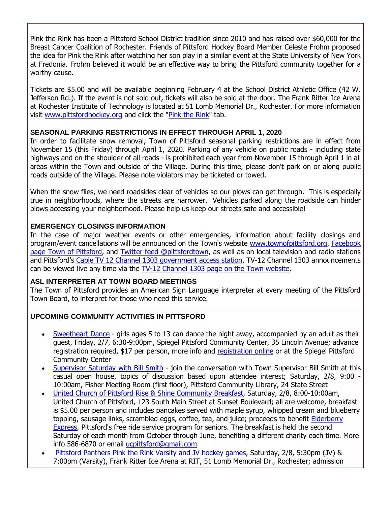Pink the Rink has been a Pittsford School District tradition since 2010 and has raised over \$60,000 for the Breast Cancer Coalition of Rochester. Friends of Pittsford Hockey Board Member Celeste Frohm proposed the idea for Pink the Rink after watching her son play in a similar event at the State University of New York at Fredonia. Frohm believed it would be an effective way to bring the Pittsford community together for a worthy cause.

Tickets are \$5.00 and will be available beginning February 4 at the School District Athletic Office (42 W. Jefferson Rd.). If the event is not sold out, tickets will also be sold at the door. The Frank Ritter Ice Arena at Rochester Institute of Technology is located at 51 Lomb Memorial Dr., Rochester. For more information visit [www.pittsfordhockey.org](http://r20.rs6.net/tn.jsp?f=001qu0QUsoiwPORWmv6dTM9UoinGMz1E4nEaTtmylmusPUlScNuHV_EAvPPynAv6jW9HBlhVSQ0kxGds3o4d9c3IL91iQ3pJ9by4ZYGnLJ7pNPNx7QCi9LcGybPKUzge_Kgfrj77OCuQzXFEvWrRwcNxauPo8NU_qsff8BG-mhdtX8FDIhjIj4aRspm1ipSzF-4C8hHRl7N-wGk9m5ZbSbfGrNG5nLQRViZ-Bm_9HP1eaXcMzmjDZkDwSLb7X_TPzSZ7uYiTyFZ5Y2eauspn9gzhnXj-Q-YaU_XL9s9f02STIM=&c=_V3H7v8cJg2bs8-9hTKoPnaHS5CRey89mHnQY82CnOymP57pXPxf-Q==&ch=jm8Q6fUyonRbYQQmggf87AH1g-3bGcG8gAdsrrUGGfmmWW930KyVCw==) and click the ["Pink the Rink"](http://r20.rs6.net/tn.jsp?f=001qu0QUsoiwPORWmv6dTM9UoinGMz1E4nEaTtmylmusPUlScNuHV_EAml6hcaOHNKvYiQODSsGhDCHs8-RwOcKYBVzmJB69wrwGyHLCYcUP2Hrn8DdxzORuhUvqHRpaAImG979G4UZOr4JDWvoeC5fZQan90J4J3yjUB7OZmjXNBw9xNI5qoq-eaL6gT74rJZvBCBJoDHuFEYP5xgG_-3sA_EA8xBlv7jBolHCnI2CICkBAVdzxXXeD0Kv6t72mhBOhfPpssxXZNtSPacBdfEw4Kn3din2Sw_XkgOfBm7qH0PZtCkV_IBdAcrpdgxY3ZmjHlB_x8fB173OyEuXxfMg--vTYsNE28dNKNkUkK8Vm78=&c=_V3H7v8cJg2bs8-9hTKoPnaHS5CRey89mHnQY82CnOymP57pXPxf-Q==&ch=jm8Q6fUyonRbYQQmggf87AH1g-3bGcG8gAdsrrUGGfmmWW930KyVCw==) tab.

#### **SEASONAL PARKING RESTRICTIONS IN EFFECT THROUGH APRIL 1, 2020**

In order to facilitate snow removal, Town of Pittsford seasonal parking restrictions are in effect from November 15 (this Friday) through April 1, 2020. Parking of any vehicle on public roads - including state highways and on the shoulder of all roads - is prohibited each year from November 15 through April 1 in all areas within the Town and outside of the Village. During this time, please don't park on or along public roads outside of the Village. Please note violators may be ticketed or towed.

When the snow flies, we need roadsides clear of vehicles so our plows can get through. This is especially true in neighborhoods, where the streets are narrower. Vehicles parked along the roadside can hinder plows accessing your neighborhood. Please help us keep our streets safe and accessible!

# **EMERGENCY CLOSINGS INFORMATION**

In the case of major weather events or other emergencies, information about facility closings and program/event cancellations will be announced on the Town's website [www.townofpittsford.org,](http://townofpittsford.org/?utm_source=eNews+2-5-20&utm_campaign=eNews+02-05-20&utm_medium=email) [Facebook](https://www.facebook.com/pages/Town-of-Pittsford/139082619464200)  page [Town of Pittsford,](https://www.facebook.com/pages/Town-of-Pittsford/139082619464200) and [Twitter feed @pittsfordtown,](http://r20.rs6.net/tn.jsp?f=001qu0QUsoiwPORWmv6dTM9UoinGMz1E4nEaTtmylmusPUlScNuHV_EAt2onKbZ77Q2U6zjMG9v-rNUeMZO_Y2BYJVqFLwCxBHnwhQwk5wpECZ7IlLAsUMJ5FpIDaTSexqG_MLcgFCGUd0rOeyGWi9zCnO41i55A-Hvh5_j_ba_DG0DiY7fEMqNNg==&c=_V3H7v8cJg2bs8-9hTKoPnaHS5CRey89mHnQY82CnOymP57pXPxf-Q==&ch=jm8Q6fUyonRbYQQmggf87AH1g-3bGcG8gAdsrrUGGfmmWW930KyVCw==) as well as on local television and radio stations and Pittsford's [Cable TV 12 Channel 1303 government access station.](http://townofpittsford.org/home-channel12?utm_source=eNews+2-5-20&utm_campaign=eNews+02-05-20&utm_medium=email) TV-12 Channel 1303 announcements can be viewed live any time via the [TV-12 Channel 1303 page on the Town website.](http://townofpittsford.org/home-channel12?utm_source=eNews+2-5-20&utm_campaign=eNews+02-05-20&utm_medium=email)

#### **ASL INTERPRETER AT TOWN BOARD MEETINGS**

The Town of Pittsford provides an American Sign Language interpreter at every meeting of the Pittsford Town Board, to interpret for those who need this service.

#### **UPCOMING COMMUNITY ACTIVITIES IN PITTSFORD**

- [Sweetheart Dance](http://r20.rs6.net/tn.jsp?f=001qu0QUsoiwPORWmv6dTM9UoinGMz1E4nEaTtmylmusPUlScNuHV_EAufCKb96bd2jHY3mn88EpvruHJfEBwiLAkpA-72KVaPaACJI8nnrqYjSqCzFwqLdEOaY_UXLNIuhsMmHYCpl_DySqs14N9MUT5ITNIl38OJyy4wHaA7B8UpZag-qPabt4vDrwYzXMEOfZQB30esx2AoUu3zQfIusjxwDIf8WtQVNsHTLibGHhcLPokpFgP5iDPYggGNCfHGMLdwKUeifpE9MwhNe_utl_Kxcqm0YfwygIK_uZ-iVxgxcX92YDcDlBNhZEC8sdCHH9I7vBpsoHpqwAyqEnwlKUkWbdlOATweW&c=_V3H7v8cJg2bs8-9hTKoPnaHS5CRey89mHnQY82CnOymP57pXPxf-Q==&ch=jm8Q6fUyonRbYQQmggf87AH1g-3bGcG8gAdsrrUGGfmmWW930KyVCw==) girls ages 5 to 13 can dance the night away, accompanied by an adult as their guest, Friday, 2/7, 6:30-9:00pm, Spiegel Pittsford Community Center, 35 Lincoln Avenue; advance registration required, \$17 per person, more info and [registration online](http://r20.rs6.net/tn.jsp?f=001qu0QUsoiwPORWmv6dTM9UoinGMz1E4nEaTtmylmusPUlScNuHV_EAsScw5N6qo91JLbvPDrbRFZoMSxiQ-rC3qeSIjyLTHDtgN9waXJ-cpcUPr85XA18Wlf8krqAUPMOMSquMj_6GFulJAN58qzCUvPginPMMj0yMGFFtsf3lhZHu3BVfhHURJJ7Fo14Cbb4D-WXP6s6IsoBQPOKLT8sFpi0OeMe3Luuqw1KRJMFnz90_WmmgN3YJAOXl__4bmiMI8wQM1VSRBq5VG2JxAkLoR5oNDy598Ex-M4YUGkceZVi20mibfU3lHzvwvinkC1cGgKUPWszwcBUJ-GuOkYlXDAQXvVyfOQ0&c=_V3H7v8cJg2bs8-9hTKoPnaHS5CRey89mHnQY82CnOymP57pXPxf-Q==&ch=jm8Q6fUyonRbYQQmggf87AH1g-3bGcG8gAdsrrUGGfmmWW930KyVCw==) or at the Spiegel Pittsford Community Center
- [Supervisor Saturday with Bill Smith](http://r20.rs6.net/tn.jsp?f=001qu0QUsoiwPORWmv6dTM9UoinGMz1E4nEaTtmylmusPUlScNuHV_EAml6hcaOHNKvFJ9OZLRG59_SXlr8bDr1ZAuuXt-D6l4OhnLnbl9lkbgTd5lgIehtuM-CqdQcLfI0wVPaxOTlqUb-lIjpmyBqarZDw4sER0lxSJ_fj9WgheEaiWEPuCsNBL-465O91BkO1UPKbFjoVpG4zAm2iv4d4Ww2hI2DZ0lKTHjEWsEBJ3oJ5Yl1jqZrePd-rzr6Q36MRgD6_PleYQti2hoDJg46YfvaMfYl4K8hRbT0GQ30eIZmHvkVvzR6sQzHjmzJHOXV55bTDZY_YkGwIkhGlmDJMYzHkwCCiZjUwqWie1t2fp3NlXdoqY-Aog==&c=_V3H7v8cJg2bs8-9hTKoPnaHS5CRey89mHnQY82CnOymP57pXPxf-Q==&ch=jm8Q6fUyonRbYQQmggf87AH1g-3bGcG8gAdsrrUGGfmmWW930KyVCw==) join the conversation with Town Supervisor Bill Smith at this casual open house, topics of discussion based upon attendee interest; Saturday, 2/8, 9:00 - 10:00am, Fisher Meeting Room (first floor), Pittsford Community Library, 24 State Street
- [United Church of Pittsford Rise & Shine Community Breakfast,](http://r20.rs6.net/tn.jsp?f=001qu0QUsoiwPORWmv6dTM9UoinGMz1E4nEaTtmylmusPUlScNuHV_EAuqKUbmjjgA4FTzOSX_ZEcVaFFPAwfLebdZuDgKPS52Jf0GkcKHgXgqAO0mKE7JX9YQLOS38URNBnosogxTMMeTn7qSfeA2273URjhUFQQeZLNUOwtxuKmjJS6SgPZqFpeMZOfEElgbdsanVTz4iDmaRFp0DNuf9GuJ6swHluvbPlGTVRkmRc7Pq9L0hEofp0mODqvxpC8zP4iOYUcHaGWAx7fdz64UNXDr3CbviKXjq&c=_V3H7v8cJg2bs8-9hTKoPnaHS5CRey89mHnQY82CnOymP57pXPxf-Q==&ch=jm8Q6fUyonRbYQQmggf87AH1g-3bGcG8gAdsrrUGGfmmWW930KyVCw==) Saturday, 2/8, 8:00-10:00am, United Church of Pittsford, 123 South Main Street at Sunset Boulevard; all are welcome, breakfast is \$5.00 per person and includes pancakes served with maple syrup, whipped cream and blueberry topping, sausage links, scrambled eggs, coffee, tea, and juice; proceeds to benefit Elderberry [Express,](http://r20.rs6.net/tn.jsp?f=001qu0QUsoiwPORWmv6dTM9UoinGMz1E4nEaTtmylmusPUlScNuHV_EAml6hcaOHNKvawqNsScRg4Vk4m27sgYsG2gvFsIKWxfzZVtvFi8C4gfEiAz6pVDi1S4Q3jBrUj7Nbk9Ne_w2tNrSHkCJwbOdbSItyPm9JoU0jFHTLB8APZGC_K_T2oxSh_A3K-4FjtMRAwfR3M2fgN03lZvKYLERvX9KAT6eto6aXSHRwBoo2ljoBQobPtG_jA3HMLhNaph0mG_lfX_k8nKv2m6FwWarR97BIucPXfgMYu0ALWDJVJBf8dDrw1E9uOjYgT_n6AnOWoy3IohThRc1K2mDx83F0KyPHpAfjLYX&c=_V3H7v8cJg2bs8-9hTKoPnaHS5CRey89mHnQY82CnOymP57pXPxf-Q==&ch=jm8Q6fUyonRbYQQmggf87AH1g-3bGcG8gAdsrrUGGfmmWW930KyVCw==) Pittsford's free ride service program for seniors. The breakfast is held the second Saturday of each month from October through June, benefiting a different charity each time. More info 586-6870 or email [ucpittsford@gmail.com](mailto:ucpittsford@gmail.com?subject=Rise%20and%20Shine%20Pancake%20Breakfast)
- [Pittsford Panthers Pink the Rink Varsity and JV hockey games,](http://r20.rs6.net/tn.jsp?f=001qu0QUsoiwPORWmv6dTM9UoinGMz1E4nEaTtmylmusPUlScNuHV_EAml6hcaOHNKvYiQODSsGhDCHs8-RwOcKYBVzmJB69wrwGyHLCYcUP2Hrn8DdxzORuhUvqHRpaAImG979G4UZOr4JDWvoeC5fZQan90J4J3yjUB7OZmjXNBw9xNI5qoq-eaL6gT74rJZvBCBJoDHuFEYP5xgG_-3sA_EA8xBlv7jBolHCnI2CICkBAVdzxXXeD0Kv6t72mhBOhfPpssxXZNtSPacBdfEw4Kn3din2Sw_XkgOfBm7qH0PZtCkV_IBdAcrpdgxY3ZmjHlB_x8fB173OyEuXxfMg--vTYsNE28dNKNkUkK8Vm78=&c=_V3H7v8cJg2bs8-9hTKoPnaHS5CRey89mHnQY82CnOymP57pXPxf-Q==&ch=jm8Q6fUyonRbYQQmggf87AH1g-3bGcG8gAdsrrUGGfmmWW930KyVCw==) Saturday, 2/8, 5:30pm (JV) & 7:00pm (Varsity), Frank Ritter Ice Arena at RIT, 51 Lomb Memorial Dr., Rochester; admission